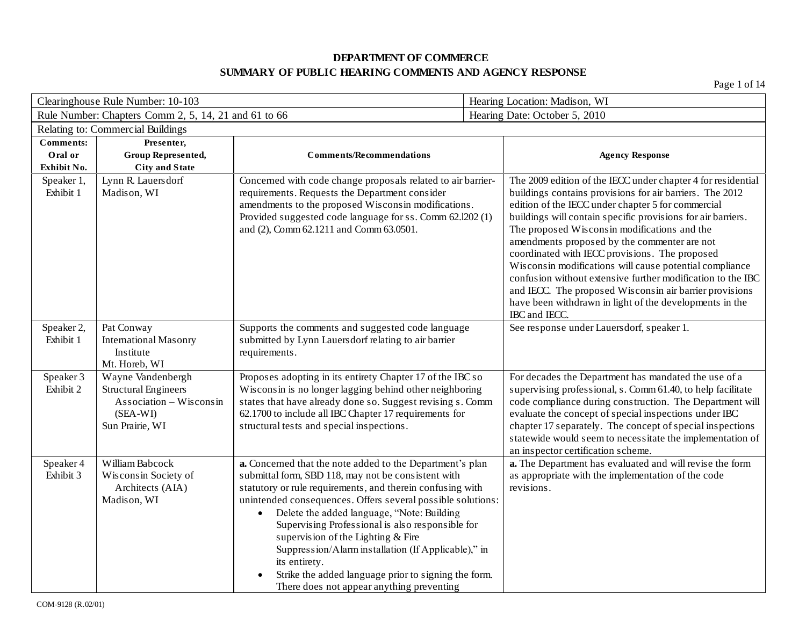| Clearinghouse Rule Number: 10-103          |                                                                                                            |                                                                                                                                                                                                                                                                                                                                                                                                                                                                                                                                                                                 | Hearing Location: Madison, WI |                                                                                                                                                                                                                                                                                                                                                                                                                                                                                                                                                                                                                                                                   |
|--------------------------------------------|------------------------------------------------------------------------------------------------------------|---------------------------------------------------------------------------------------------------------------------------------------------------------------------------------------------------------------------------------------------------------------------------------------------------------------------------------------------------------------------------------------------------------------------------------------------------------------------------------------------------------------------------------------------------------------------------------|-------------------------------|-------------------------------------------------------------------------------------------------------------------------------------------------------------------------------------------------------------------------------------------------------------------------------------------------------------------------------------------------------------------------------------------------------------------------------------------------------------------------------------------------------------------------------------------------------------------------------------------------------------------------------------------------------------------|
|                                            | Rule Number: Chapters Comm 2, 5, 14, 21 and 61 to 66                                                       |                                                                                                                                                                                                                                                                                                                                                                                                                                                                                                                                                                                 |                               | Hearing Date: October 5, 2010                                                                                                                                                                                                                                                                                                                                                                                                                                                                                                                                                                                                                                     |
|                                            | Relating to: Commercial Buildings                                                                          |                                                                                                                                                                                                                                                                                                                                                                                                                                                                                                                                                                                 |                               |                                                                                                                                                                                                                                                                                                                                                                                                                                                                                                                                                                                                                                                                   |
| <b>Comments:</b><br>Oral or<br>Exhibit No. | Presenter,<br>Group Represented,<br><b>City and State</b>                                                  | <b>Comments/Recommendations</b>                                                                                                                                                                                                                                                                                                                                                                                                                                                                                                                                                 |                               | <b>Agency Response</b>                                                                                                                                                                                                                                                                                                                                                                                                                                                                                                                                                                                                                                            |
| Speaker 1,<br>Exhibit 1                    | Lynn R. Lauersdorf<br>Madison, WI                                                                          | Concerned with code change proposals related to air barrier-<br>requirements. Requests the Department consider<br>amendments to the proposed Wisconsin modifications.<br>Provided suggested code language for ss. Comm 62.1202 (1)<br>and (2), Comm 62.1211 and Comm 63.0501.                                                                                                                                                                                                                                                                                                   |                               | The 2009 edition of the IECC under chapter 4 for residential<br>buildings contains provisions for air barriers. The 2012<br>edition of the IECC under chapter 5 for commercial<br>buildings will contain specific provisions for air barriers.<br>The proposed Wisconsin modifications and the<br>amendments proposed by the commenter are not<br>coordinated with IECC provisions. The proposed<br>Wisconsin modifications will cause potential compliance<br>confusion without extensive further modification to the IBC<br>and IECC. The proposed Wisconsin air barrier provisions<br>have been withdrawn in light of the developments in the<br>IBC and IECC. |
| Speaker 2,<br>Exhibit 1                    | Pat Conway<br><b>International Masonry</b><br>Institute<br>Mt. Horeb, WI                                   | Supports the comments and suggested code language<br>submitted by Lynn Lauersdorf relating to air barrier<br>requirements.                                                                                                                                                                                                                                                                                                                                                                                                                                                      |                               | See response under Lauersdorf, speaker 1.                                                                                                                                                                                                                                                                                                                                                                                                                                                                                                                                                                                                                         |
| Speaker 3<br>Exhibit 2                     | Wayne Vandenbergh<br><b>Structural Engineers</b><br>Association - Wisconsin<br>(SEA-WI)<br>Sun Prairie, WI | Proposes adopting in its entirety Chapter 17 of the IBC so<br>Wisconsin is no longer lagging behind other neighboring<br>states that have already done so. Suggest revising s. Comm<br>62.1700 to include all IBC Chapter 17 requirements for<br>structural tests and special inspections.                                                                                                                                                                                                                                                                                      |                               | For decades the Department has mandated the use of a<br>supervising professional, s. Comm 61.40, to help facilitate<br>code compliance during construction. The Department will<br>evaluate the concept of special inspections under IBC<br>chapter 17 separately. The concept of special inspections<br>statewide would seem to necessitate the implementation of<br>an inspector certification scheme.                                                                                                                                                                                                                                                          |
| Speaker 4<br>Exhibit 3                     | William Babcock<br>Wisconsin Society of<br>Architects (AIA)<br>Madison, WI                                 | a. Concerned that the note added to the Department's plan<br>submittal form, SBD 118, may not be consistent with<br>statutory or rule requirements, and therein confusing with<br>unintended consequences. Offers several possible solutions:<br>Delete the added language, "Note: Building<br>$\bullet$<br>Supervising Professional is also responsible for<br>supervision of the Lighting & Fire<br>Suppression/Alarm installation (If Applicable)," in<br>its entirety.<br>Strike the added language prior to signing the form.<br>There does not appear anything preventing |                               | a. The Department has evaluated and will revise the form<br>as appropriate with the implementation of the code<br>revisions.                                                                                                                                                                                                                                                                                                                                                                                                                                                                                                                                      |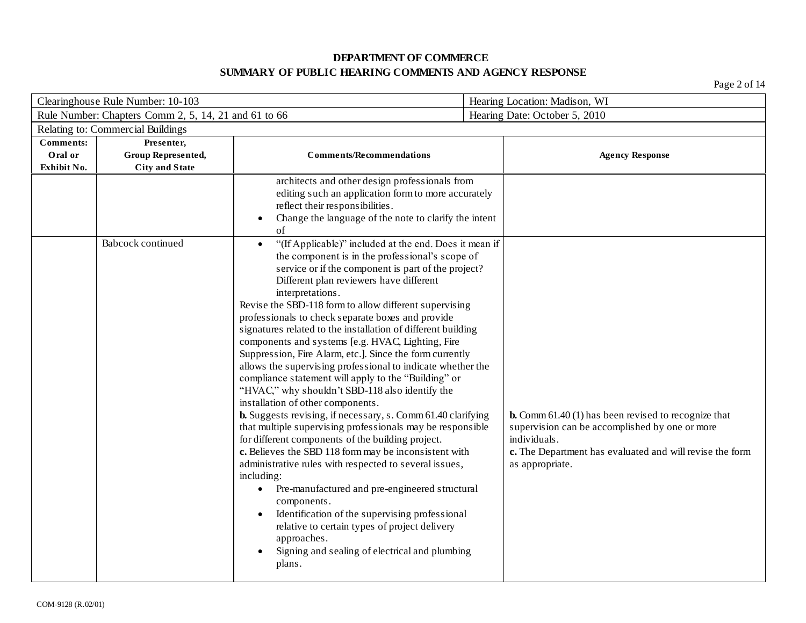| Clearinghouse Rule Number: 10-103          |                                                           | Hearing Location: Madison, WI                                                                                                                                                                                                                                                                                                                                                                                                                                                                                                                                                                                                                                                                                                                                                                                                                                                                                                                                                                                                                                                                                                                                                                                                                                                                                                                                   |                                                                                                                                                                                                              |
|--------------------------------------------|-----------------------------------------------------------|-----------------------------------------------------------------------------------------------------------------------------------------------------------------------------------------------------------------------------------------------------------------------------------------------------------------------------------------------------------------------------------------------------------------------------------------------------------------------------------------------------------------------------------------------------------------------------------------------------------------------------------------------------------------------------------------------------------------------------------------------------------------------------------------------------------------------------------------------------------------------------------------------------------------------------------------------------------------------------------------------------------------------------------------------------------------------------------------------------------------------------------------------------------------------------------------------------------------------------------------------------------------------------------------------------------------------------------------------------------------|--------------------------------------------------------------------------------------------------------------------------------------------------------------------------------------------------------------|
|                                            | Rule Number: Chapters Comm 2, 5, 14, 21 and 61 to 66      |                                                                                                                                                                                                                                                                                                                                                                                                                                                                                                                                                                                                                                                                                                                                                                                                                                                                                                                                                                                                                                                                                                                                                                                                                                                                                                                                                                 | Hearing Date: October 5, 2010                                                                                                                                                                                |
|                                            | Relating to: Commercial Buildings                         |                                                                                                                                                                                                                                                                                                                                                                                                                                                                                                                                                                                                                                                                                                                                                                                                                                                                                                                                                                                                                                                                                                                                                                                                                                                                                                                                                                 |                                                                                                                                                                                                              |
| <b>Comments:</b><br>Oral or<br>Exhibit No. | Presenter,<br>Group Represented,<br><b>City and State</b> | <b>Comments/Recommendations</b>                                                                                                                                                                                                                                                                                                                                                                                                                                                                                                                                                                                                                                                                                                                                                                                                                                                                                                                                                                                                                                                                                                                                                                                                                                                                                                                                 | <b>Agency Response</b>                                                                                                                                                                                       |
|                                            |                                                           | architects and other design professionals from<br>editing such an application form to more accurately<br>reflect their responsibilities.<br>Change the language of the note to clarify the intent<br>of                                                                                                                                                                                                                                                                                                                                                                                                                                                                                                                                                                                                                                                                                                                                                                                                                                                                                                                                                                                                                                                                                                                                                         |                                                                                                                                                                                                              |
|                                            | Babcock continued                                         | "(If Applicable)" included at the end. Does it mean if<br>$\bullet$<br>the component is in the professional's scope of<br>service or if the component is part of the project?<br>Different plan reviewers have different<br>interpretations.<br>Revise the SBD-118 form to allow different supervising<br>professionals to check separate boxes and provide<br>signatures related to the installation of different building<br>components and systems [e.g. HVAC, Lighting, Fire<br>Suppression, Fire Alarm, etc.]. Since the form currently<br>allows the supervising professional to indicate whether the<br>compliance statement will apply to the "Building" or<br>"HVAC," why shouldn't SBD-118 also identify the<br>installation of other components.<br><b>b.</b> Suggests revising, if necessary, s. Comm 61.40 clarifying<br>that multiple supervising professionals may be responsible<br>for different components of the building project.<br>c. Believes the SBD 118 form may be inconsistent with<br>administrative rules with respected to several issues,<br>including:<br>Pre-manufactured and pre-engineered structural<br>$\bullet$<br>components.<br>Identification of the supervising professional<br>relative to certain types of project delivery<br>approaches.<br>Signing and sealing of electrical and plumbing<br>$\bullet$<br>plans. | <b>b.</b> Comm 61.40 (1) has been revised to recognize that<br>supervision can be accomplished by one or more<br>individuals.<br>c. The Department has evaluated and will revise the form<br>as appropriate. |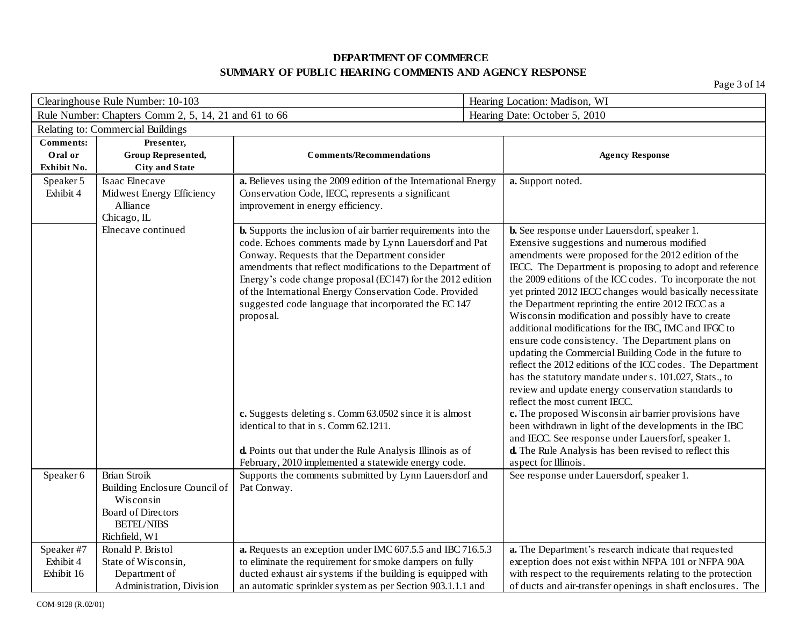| Clearinghouse Rule Number: 10-103 |                                                      | Hearing Location: Madison, WI                                                                                                  |  |                                                                                                               |  |
|-----------------------------------|------------------------------------------------------|--------------------------------------------------------------------------------------------------------------------------------|--|---------------------------------------------------------------------------------------------------------------|--|
|                                   | Rule Number: Chapters Comm 2, 5, 14, 21 and 61 to 66 |                                                                                                                                |  | Hearing Date: October 5, 2010                                                                                 |  |
|                                   | Relating to: Commercial Buildings                    |                                                                                                                                |  |                                                                                                               |  |
| <b>Comments:</b>                  | Presenter,                                           |                                                                                                                                |  |                                                                                                               |  |
| Oral or                           | Group Represented,                                   | <b>Comments/Recommendations</b>                                                                                                |  | <b>Agency Response</b>                                                                                        |  |
| Exhibit No.                       | <b>City and State</b>                                |                                                                                                                                |  |                                                                                                               |  |
| Speaker 5                         | Isaac Elnecave                                       | a. Believes using the 2009 edition of the International Energy                                                                 |  | a. Support noted.                                                                                             |  |
| Exhibit 4                         | Midwest Energy Efficiency                            | Conservation Code, IECC, represents a significant                                                                              |  |                                                                                                               |  |
|                                   | Alliance                                             | improvement in energy efficiency.                                                                                              |  |                                                                                                               |  |
|                                   | Chicago, IL<br>Elnecave continued                    |                                                                                                                                |  |                                                                                                               |  |
|                                   |                                                      | <b>b.</b> Supports the inclusion of air barrier requirements into the<br>code. Echoes comments made by Lynn Lauersdorf and Pat |  | b. See response under Lauersdorf, speaker 1.<br>Extensive suggestions and numerous modified                   |  |
|                                   |                                                      | Conway. Requests that the Department consider                                                                                  |  | amendments were proposed for the 2012 edition of the                                                          |  |
|                                   |                                                      | amendments that reflect modifications to the Department of                                                                     |  | IECC. The Department is proposing to adopt and reference                                                      |  |
|                                   |                                                      | Energy's code change proposal (EC147) for the 2012 edition                                                                     |  | the 2009 editions of the ICC codes. To incorporate the not                                                    |  |
|                                   |                                                      | of the International Energy Conservation Code. Provided                                                                        |  | yet printed 2012 IECC changes would basically necessitate                                                     |  |
|                                   |                                                      | suggested code language that incorporated the EC 147                                                                           |  | the Department reprinting the entire 2012 IECC as a                                                           |  |
|                                   |                                                      | proposal.                                                                                                                      |  | Wisconsin modification and possibly have to create                                                            |  |
|                                   |                                                      |                                                                                                                                |  | additional modifications for the IBC, IMC and IFGC to                                                         |  |
|                                   |                                                      |                                                                                                                                |  | ensure code consistency. The Department plans on                                                              |  |
|                                   |                                                      |                                                                                                                                |  | updating the Commercial Building Code in the future to                                                        |  |
|                                   |                                                      |                                                                                                                                |  | reflect the 2012 editions of the ICC codes. The Department                                                    |  |
|                                   |                                                      |                                                                                                                                |  | has the statutory mandate under s. 101.027, Stats., to                                                        |  |
|                                   |                                                      |                                                                                                                                |  | review and update energy conservation standards to                                                            |  |
|                                   |                                                      |                                                                                                                                |  | reflect the most current IECC.                                                                                |  |
|                                   |                                                      | c. Suggests deleting s. Comm 63.0502 since it is almost<br>identical to that in s. Comm 62.1211.                               |  | c. The proposed Wisconsin air barrier provisions have                                                         |  |
|                                   |                                                      |                                                                                                                                |  | been withdrawn in light of the developments in the IBC<br>and IECC. See response under Lauersforf, speaker 1. |  |
|                                   |                                                      | d. Points out that under the Rule Analysis Illinois as of                                                                      |  | d. The Rule Analysis has been revised to reflect this                                                         |  |
|                                   |                                                      | February, 2010 implemented a statewide energy code.                                                                            |  | aspect for Illinois.                                                                                          |  |
| Speaker 6                         | Brian Stroik                                         | Supports the comments submitted by Lynn Lauersdorf and                                                                         |  | See response under Lauersdorf, speaker 1.                                                                     |  |
|                                   | Building Enclosure Council of                        | Pat Conway.                                                                                                                    |  |                                                                                                               |  |
|                                   | Wisconsin                                            |                                                                                                                                |  |                                                                                                               |  |
|                                   | <b>Board of Directors</b>                            |                                                                                                                                |  |                                                                                                               |  |
|                                   | <b>BETEL/NIBS</b>                                    |                                                                                                                                |  |                                                                                                               |  |
|                                   | Richfield, WI                                        |                                                                                                                                |  |                                                                                                               |  |
| Speaker#7                         | Ronald P. Bristol                                    | a. Requests an exception under IMC 607.5.5 and IBC 716.5.3                                                                     |  | a. The Department's research indicate that requested                                                          |  |
| Exhibit 4                         | State of Wisconsin,                                  | to eliminate the requirement for smoke dampers on fully                                                                        |  | exception does not exist within NFPA 101 or NFPA 90A                                                          |  |
| Exhibit 16                        | Department of                                        | ducted exhaust air systems if the building is equipped with                                                                    |  | with respect to the requirements relating to the protection                                                   |  |
|                                   | Administration, Division                             | an automatic sprinkler system as per Section 903.1.1.1 and                                                                     |  | of ducts and air-transfer openings in shaft enclosures. The                                                   |  |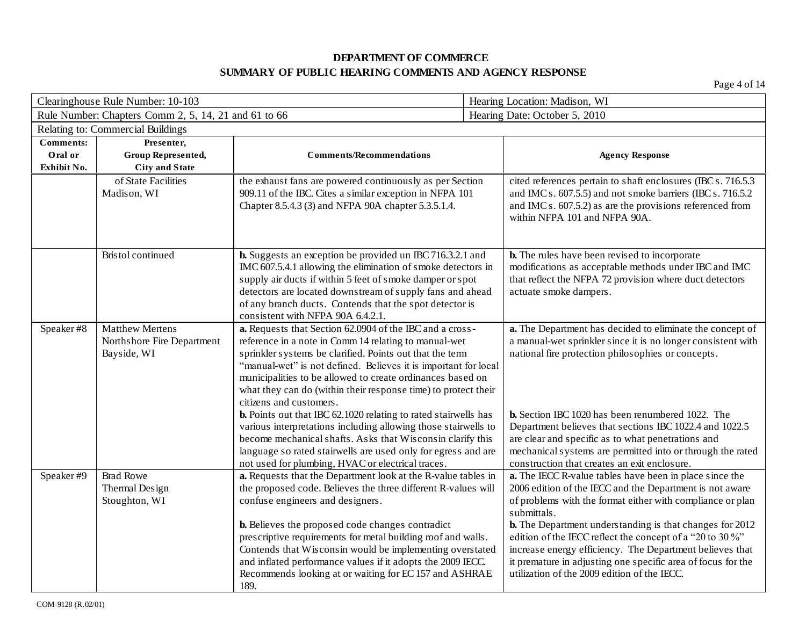| Clearinghouse Rule Number: 10-103 |                                                      | Hearing Location: Madison, WI                                                                                                            |  |                                                                                                                          |  |
|-----------------------------------|------------------------------------------------------|------------------------------------------------------------------------------------------------------------------------------------------|--|--------------------------------------------------------------------------------------------------------------------------|--|
|                                   | Rule Number: Chapters Comm 2, 5, 14, 21 and 61 to 66 |                                                                                                                                          |  | Hearing Date: October 5, 2010                                                                                            |  |
|                                   | Relating to: Commercial Buildings                    |                                                                                                                                          |  |                                                                                                                          |  |
| <b>Comments:</b>                  | Presenter,                                           |                                                                                                                                          |  |                                                                                                                          |  |
| Oral or                           | Group Represented,                                   | <b>Comments/Recommendations</b>                                                                                                          |  | <b>Agency Response</b>                                                                                                   |  |
| Exhibit No.                       | <b>City and State</b>                                |                                                                                                                                          |  |                                                                                                                          |  |
|                                   | of State Facilities                                  | the exhaust fans are powered continuously as per Section                                                                                 |  | cited references pertain to shaft enclosures (IBC s. 716.5.3)                                                            |  |
|                                   | Madison, WI                                          | 909.11 of the IBC. Cites a similar exception in NFPA 101                                                                                 |  | and IMC s. 607.5.5) and not smoke barriers (IBC s. 716.5.2                                                               |  |
|                                   |                                                      | Chapter 8.5.4.3 (3) and NFPA 90A chapter 5.3.5.1.4.                                                                                      |  | and IMC s. $607.5.2$ ) as are the provisions referenced from<br>within NFPA 101 and NFPA 90A.                            |  |
|                                   |                                                      |                                                                                                                                          |  |                                                                                                                          |  |
|                                   |                                                      |                                                                                                                                          |  |                                                                                                                          |  |
|                                   | Bristol continued                                    | <b>b.</b> Suggests an exception be provided un IBC 716.3.2.1 and                                                                         |  | <b>b.</b> The rules have been revised to incorporate                                                                     |  |
|                                   |                                                      | IMC 607.5.4.1 allowing the elimination of smoke detectors in                                                                             |  | modifications as acceptable methods under IBC and IMC                                                                    |  |
|                                   |                                                      | supply air ducts if within 5 feet of smoke damper or spot                                                                                |  | that reflect the NFPA 72 provision where duct detectors                                                                  |  |
|                                   |                                                      | detectors are located downstream of supply fans and ahead<br>of any branch ducts. Contends that the spot detector is                     |  | actuate smoke dampers.                                                                                                   |  |
|                                   |                                                      | consistent with NFPA 90A 6.4.2.1.                                                                                                        |  |                                                                                                                          |  |
| Speaker#8                         | <b>Matthew Mertens</b>                               | a. Requests that Section 62.0904 of the IBC and a cross-                                                                                 |  | a. The Department has decided to eliminate the concept of                                                                |  |
|                                   | Northshore Fire Department                           | reference in a note in Comm 14 relating to manual-wet                                                                                    |  | a manual-wet sprinkler since it is no longer consistent with                                                             |  |
|                                   | Bayside, WI                                          | sprinkler systems be clarified. Points out that the term                                                                                 |  | national fire protection philosophies or concepts.                                                                       |  |
|                                   |                                                      | "manual-wet" is not defined. Believes it is important for local                                                                          |  |                                                                                                                          |  |
|                                   |                                                      | municipalities to be allowed to create ordinances based on                                                                               |  |                                                                                                                          |  |
|                                   |                                                      | what they can do (within their response time) to protect their                                                                           |  |                                                                                                                          |  |
|                                   |                                                      | citizens and customers.                                                                                                                  |  |                                                                                                                          |  |
|                                   |                                                      | <b>b.</b> Points out that IBC 62.1020 relating to rated stairwells has<br>various interpretations including allowing those stairwells to |  | <b>b.</b> Section IBC 1020 has been renumbered 1022. The<br>Department believes that sections IBC 1022.4 and 1022.5      |  |
|                                   |                                                      | become mechanical shafts. Asks that Wisconsin clarify this                                                                               |  | are clear and specific as to what penetrations and                                                                       |  |
|                                   |                                                      | language so rated stairwells are used only for egress and are                                                                            |  | mechanical systems are permitted into or through the rated                                                               |  |
|                                   |                                                      | not used for plumbing, HVAC or electrical traces.                                                                                        |  |                                                                                                                          |  |
| Speaker#9                         | <b>Brad Rowe</b>                                     | a. Requests that the Department look at the R-value tables in                                                                            |  | construction that creates an exit enclosure.<br>a. The IECC R-value tables have been in place since the                  |  |
|                                   | Thermal Design                                       | the proposed code. Believes the three different R-values will                                                                            |  | 2006 edition of the IECC and the Department is not aware                                                                 |  |
|                                   | Stoughton, WI                                        | confuse engineers and designers.                                                                                                         |  | of problems with the format either with compliance or plan                                                               |  |
|                                   |                                                      |                                                                                                                                          |  | submittals.                                                                                                              |  |
|                                   |                                                      | <b>b.</b> Believes the proposed code changes contradict                                                                                  |  | <b>b.</b> The Department understanding is that changes for 2012                                                          |  |
|                                   |                                                      | prescriptive requirements for metal building roof and walls.                                                                             |  | edition of the IECC reflect the concept of a "20 to 30 %"                                                                |  |
|                                   |                                                      | Contends that Wisconsin would be implementing overstated<br>and inflated performance values if it adopts the 2009 IECC.                  |  | increase energy efficiency. The Department believes that<br>it premature in adjusting one specific area of focus for the |  |
|                                   |                                                      | Recommends looking at or waiting for EC 157 and ASHRAE                                                                                   |  | utilization of the 2009 edition of the IECC.                                                                             |  |
|                                   |                                                      | 189.                                                                                                                                     |  |                                                                                                                          |  |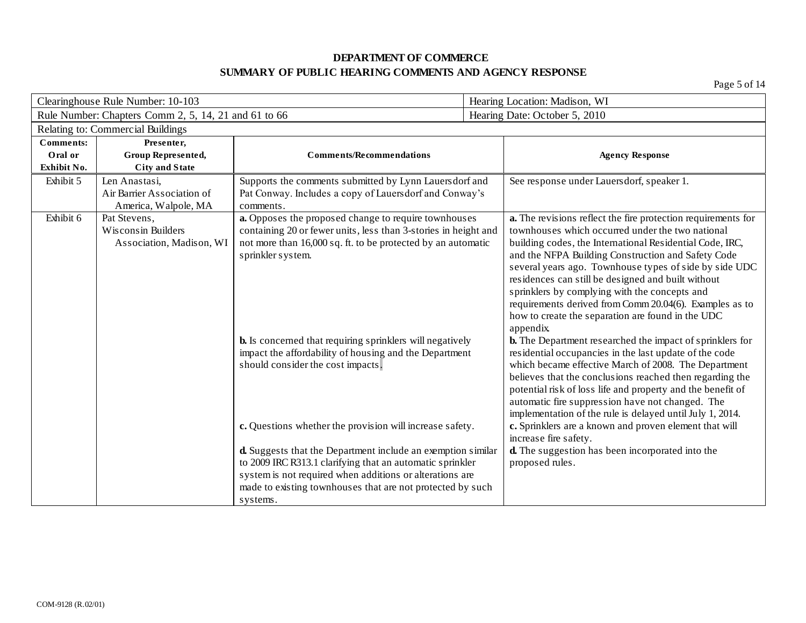| Clearinghouse Rule Number: 10-103                    |                                                                     | Hearing Location: Madison, WI                                                                                                                                                                                                                                                                                                                                                                                                                                                                                                                                                                                                                                                                                  |                                                                                                        |                                                                                                                                                                                                                                                                                                                                                                                                                                                                                                                                                                                                                                                                                                                                                                                                                                                                                                                                                                                                                     |
|------------------------------------------------------|---------------------------------------------------------------------|----------------------------------------------------------------------------------------------------------------------------------------------------------------------------------------------------------------------------------------------------------------------------------------------------------------------------------------------------------------------------------------------------------------------------------------------------------------------------------------------------------------------------------------------------------------------------------------------------------------------------------------------------------------------------------------------------------------|--------------------------------------------------------------------------------------------------------|---------------------------------------------------------------------------------------------------------------------------------------------------------------------------------------------------------------------------------------------------------------------------------------------------------------------------------------------------------------------------------------------------------------------------------------------------------------------------------------------------------------------------------------------------------------------------------------------------------------------------------------------------------------------------------------------------------------------------------------------------------------------------------------------------------------------------------------------------------------------------------------------------------------------------------------------------------------------------------------------------------------------|
| Rule Number: Chapters Comm 2, 5, 14, 21 and 61 to 66 |                                                                     | Hearing Date: October 5, 2010                                                                                                                                                                                                                                                                                                                                                                                                                                                                                                                                                                                                                                                                                  |                                                                                                        |                                                                                                                                                                                                                                                                                                                                                                                                                                                                                                                                                                                                                                                                                                                                                                                                                                                                                                                                                                                                                     |
|                                                      | Relating to: Commercial Buildings                                   |                                                                                                                                                                                                                                                                                                                                                                                                                                                                                                                                                                                                                                                                                                                |                                                                                                        |                                                                                                                                                                                                                                                                                                                                                                                                                                                                                                                                                                                                                                                                                                                                                                                                                                                                                                                                                                                                                     |
| <b>Comments:</b>                                     | Presenter,                                                          |                                                                                                                                                                                                                                                                                                                                                                                                                                                                                                                                                                                                                                                                                                                |                                                                                                        |                                                                                                                                                                                                                                                                                                                                                                                                                                                                                                                                                                                                                                                                                                                                                                                                                                                                                                                                                                                                                     |
| Oral or<br>Exhibit No.                               | Group Represented,<br><b>City and State</b>                         | <b>Comments/Recommendations</b>                                                                                                                                                                                                                                                                                                                                                                                                                                                                                                                                                                                                                                                                                |                                                                                                        | <b>Agency Response</b>                                                                                                                                                                                                                                                                                                                                                                                                                                                                                                                                                                                                                                                                                                                                                                                                                                                                                                                                                                                              |
| Exhibit 5                                            | Len Anastasi,<br>Air Barrier Association of<br>America, Walpole, MA | Supports the comments submitted by Lynn Lauersdorf and<br>Pat Conway. Includes a copy of Lauersdorf and Conway's<br>comments.                                                                                                                                                                                                                                                                                                                                                                                                                                                                                                                                                                                  | See response under Lauersdorf, speaker 1.                                                              |                                                                                                                                                                                                                                                                                                                                                                                                                                                                                                                                                                                                                                                                                                                                                                                                                                                                                                                                                                                                                     |
| Exhibit 6                                            | Pat Stevens,<br>Wisconsin Builders<br>Association, Madison, WI      | a. Opposes the proposed change to require townhouses<br>containing 20 or fewer units, less than 3-stories in height and<br>not more than 16,000 sq. ft. to be protected by an automatic<br>sprinkler system.<br><b>b.</b> Is concerned that requiring sprinklers will negatively<br>impact the affordability of housing and the Department<br>should consider the cost impacts.<br>c. Questions whether the provision will increase safety.<br>d. Suggests that the Department include an exemption similar<br>to 2009 IRC R313.1 clarifying that an automatic sprinkler<br>system is not required when additions or alterations are<br>made to existing townhouses that are not protected by such<br>systems. | sprinklers by complying with the concepts and<br>appendix.<br>increase fire safety.<br>proposed rules. | a. The revisions reflect the fire protection requirements for<br>townhouses which occurred under the two national<br>building codes, the International Residential Code, IRC,<br>and the NFPA Building Construction and Safety Code<br>several years ago. Townhouse types of side by side UDC<br>residences can still be designed and built without<br>requirements derived from Comm 20.04(6). Examples as to<br>how to create the separation are found in the UDC<br><b>b.</b> The Department researched the impact of sprinklers for<br>residential occupancies in the last update of the code<br>which became effective March of 2008. The Department<br>believes that the conclusions reached then regarding the<br>potential risk of loss life and property and the benefit of<br>automatic fire suppression have not changed. The<br>implementation of the rule is delayed until July 1, 2014.<br>c. Sprinklers are a known and proven element that will<br>d. The suggestion has been incorporated into the |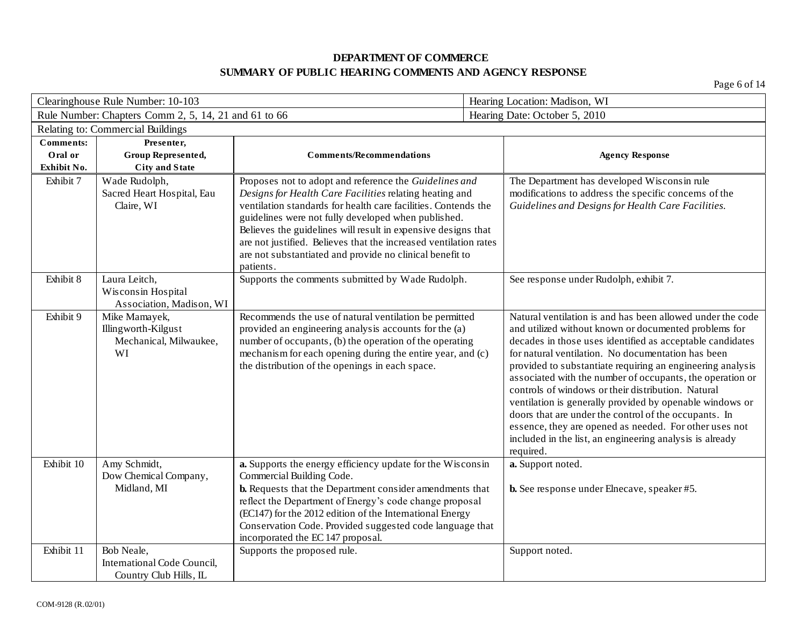| Clearinghouse Rule Number: 10-103 |                                                                      |                                                                                                                                                                                                                                                                                                                                                                                 | Hearing Location: Madison, WI                                                                                                                                                                                                                                                                                                                                                                                                                                                                                                                                                                                                                                                   |  |
|-----------------------------------|----------------------------------------------------------------------|---------------------------------------------------------------------------------------------------------------------------------------------------------------------------------------------------------------------------------------------------------------------------------------------------------------------------------------------------------------------------------|---------------------------------------------------------------------------------------------------------------------------------------------------------------------------------------------------------------------------------------------------------------------------------------------------------------------------------------------------------------------------------------------------------------------------------------------------------------------------------------------------------------------------------------------------------------------------------------------------------------------------------------------------------------------------------|--|
|                                   | Rule Number: Chapters Comm 2, 5, 14, 21 and 61 to 66                 |                                                                                                                                                                                                                                                                                                                                                                                 | Hearing Date: October 5, 2010                                                                                                                                                                                                                                                                                                                                                                                                                                                                                                                                                                                                                                                   |  |
|                                   | Relating to: Commercial Buildings                                    |                                                                                                                                                                                                                                                                                                                                                                                 |                                                                                                                                                                                                                                                                                                                                                                                                                                                                                                                                                                                                                                                                                 |  |
| <b>Comments:</b>                  | Presenter,                                                           |                                                                                                                                                                                                                                                                                                                                                                                 |                                                                                                                                                                                                                                                                                                                                                                                                                                                                                                                                                                                                                                                                                 |  |
| Oral or                           | Group Represented,                                                   | <b>Comments/Recommendations</b>                                                                                                                                                                                                                                                                                                                                                 | <b>Agency Response</b>                                                                                                                                                                                                                                                                                                                                                                                                                                                                                                                                                                                                                                                          |  |
| Exhibit No.<br>Exhibit 7          | <b>City and State</b>                                                |                                                                                                                                                                                                                                                                                                                                                                                 |                                                                                                                                                                                                                                                                                                                                                                                                                                                                                                                                                                                                                                                                                 |  |
|                                   | Wade Rudolph,<br>Sacred Heart Hospital, Eau<br>Claire, WI            | Proposes not to adopt and reference the Guidelines and<br>Designs for Health Care Facilities relating heating and<br>ventilation standards for health care facilities. Contends the<br>guidelines were not fully developed when published.<br>Believes the guidelines will result in expensive designs that<br>are not justified. Believes that the increased ventilation rates | The Department has developed Wisconsin rule<br>modifications to address the specific concerns of the<br>Guidelines and Designs for Health Care Facilities.                                                                                                                                                                                                                                                                                                                                                                                                                                                                                                                      |  |
|                                   |                                                                      | are not substantiated and provide no clinical benefit to<br>patients.                                                                                                                                                                                                                                                                                                           |                                                                                                                                                                                                                                                                                                                                                                                                                                                                                                                                                                                                                                                                                 |  |
| Exhibit 8                         | Laura Leitch,<br>Wisconsin Hospital<br>Association, Madison, WI      | Supports the comments submitted by Wade Rudolph.                                                                                                                                                                                                                                                                                                                                | See response under Rudolph, exhibit 7.                                                                                                                                                                                                                                                                                                                                                                                                                                                                                                                                                                                                                                          |  |
| Exhibit 9                         | Mike Mamayek,<br>Illingworth-Kilgust<br>Mechanical, Milwaukee,<br>WI | Recommends the use of natural ventilation be permitted<br>provided an engineering analysis accounts for the (a)<br>number of occupants, (b) the operation of the operating<br>mechanism for each opening during the entire year, and (c)<br>the distribution of the openings in each space.                                                                                     | Natural ventilation is and has been allowed under the code<br>and utilized without known or documented problems for<br>decades in those uses identified as acceptable candidates<br>for natural ventilation. No documentation has been<br>provided to substantiate requiring an engineering analysis<br>associated with the number of occupants, the operation or<br>controls of windows or their distribution. Natural<br>ventilation is generally provided by openable windows or<br>doors that are under the control of the occupants. In<br>essence, they are opened as needed. For other uses not<br>included in the list, an engineering analysis is already<br>required. |  |
| Exhibit 10                        | Amy Schmidt,<br>Dow Chemical Company,<br>Midland, MI                 | a. Supports the energy efficiency update for the Wisconsin<br>Commercial Building Code.<br>b. Requests that the Department consider amendments that<br>reflect the Department of Energy's code change proposal<br>(EC147) for the 2012 edition of the International Energy<br>Conservation Code. Provided suggested code language that<br>incorporated the EC 147 proposal.     | a. Support noted.<br><b>b.</b> See response under Elnecave, speaker #5.                                                                                                                                                                                                                                                                                                                                                                                                                                                                                                                                                                                                         |  |
| Exhibit 11                        | Bob Neale,<br>International Code Council,<br>Country Club Hills, IL  | Supports the proposed rule.                                                                                                                                                                                                                                                                                                                                                     | Support noted.                                                                                                                                                                                                                                                                                                                                                                                                                                                                                                                                                                                                                                                                  |  |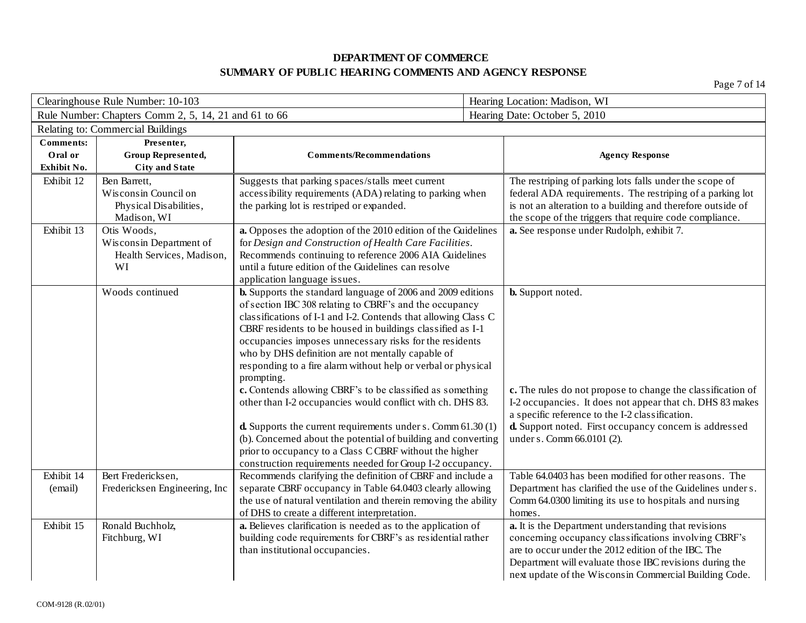| Clearinghouse Rule Number: 10-103 |                                                      | Hearing Location: Madison, WI                                                                          |                                                                                                                          |  |
|-----------------------------------|------------------------------------------------------|--------------------------------------------------------------------------------------------------------|--------------------------------------------------------------------------------------------------------------------------|--|
|                                   | Rule Number: Chapters Comm 2, 5, 14, 21 and 61 to 66 |                                                                                                        | Hearing Date: October 5, 2010                                                                                            |  |
|                                   | Relating to: Commercial Buildings                    |                                                                                                        |                                                                                                                          |  |
| <b>Comments:</b>                  | Presenter,                                           |                                                                                                        |                                                                                                                          |  |
| Oral or                           | Group Represented,                                   | <b>Comments/Recommendations</b>                                                                        | <b>Agency Response</b>                                                                                                   |  |
| Exhibit No.                       | <b>City and State</b>                                |                                                                                                        |                                                                                                                          |  |
| Exhibit 12                        | Ben Barrett,                                         | Suggests that parking spaces/stalls meet current                                                       | The restriping of parking lots falls under the scope of                                                                  |  |
|                                   | Wisconsin Council on<br>Physical Disabilities,       | accessibility requirements (ADA) relating to parking when<br>the parking lot is restriped or expanded. | federal ADA requirements. The restriping of a parking lot<br>is not an alteration to a building and therefore outside of |  |
|                                   | Madison, WI                                          |                                                                                                        | the scope of the triggers that require code compliance.                                                                  |  |
| Exhibit 13                        | Otis Woods,                                          | a. Opposes the adoption of the 2010 edition of the Guidelines                                          | a. See response under Rudolph, exhibit 7.                                                                                |  |
|                                   | Wisconsin Department of                              | for Design and Construction of Health Care Facilities.                                                 |                                                                                                                          |  |
|                                   | Health Services, Madison,                            | Recommends continuing to reference 2006 AIA Guidelines                                                 |                                                                                                                          |  |
|                                   | WI                                                   | until a future edition of the Guidelines can resolve                                                   |                                                                                                                          |  |
|                                   |                                                      | application language issues.                                                                           |                                                                                                                          |  |
|                                   | Woods continued                                      | <b>b.</b> Supports the standard language of 2006 and 2009 editions                                     | <b>b.</b> Support noted.                                                                                                 |  |
|                                   |                                                      | of section IBC 308 relating to CBRF's and the occupancy                                                |                                                                                                                          |  |
|                                   |                                                      | classifications of I-1 and I-2. Contends that allowing Class C                                         |                                                                                                                          |  |
|                                   |                                                      | CBRF residents to be housed in buildings classified as I-1                                             |                                                                                                                          |  |
|                                   |                                                      | occupancies imposes unnecessary risks for the residents                                                |                                                                                                                          |  |
|                                   |                                                      | who by DHS definition are not mentally capable of                                                      |                                                                                                                          |  |
|                                   |                                                      | responding to a fire alarm without help or verbal or physical<br>prompting.                            |                                                                                                                          |  |
|                                   |                                                      | c. Contends allowing CBRF's to be classified as something                                              | c. The rules do not propose to change the classification of                                                              |  |
|                                   |                                                      | other than I-2 occupancies would conflict with ch. DHS 83.                                             | I-2 occupancies. It does not appear that ch. DHS 83 makes                                                                |  |
|                                   |                                                      |                                                                                                        | a specific reference to the I-2 classification.                                                                          |  |
|                                   |                                                      | <b>d.</b> Supports the current requirements under s. Comm $61.30(1)$                                   | d. Support noted. First occupancy concern is addressed                                                                   |  |
|                                   |                                                      | (b). Concerned about the potential of building and converting                                          | under s. Comm 66.0101 (2).                                                                                               |  |
|                                   |                                                      | prior to occupancy to a Class C CBRF without the higher                                                |                                                                                                                          |  |
|                                   |                                                      | construction requirements needed for Group I-2 occupancy.                                              |                                                                                                                          |  |
| Exhibit 14                        | Bert Fredericksen,                                   | Recommends clarifying the definition of CBRF and include a                                             | Table 64.0403 has been modified for other reasons. The                                                                   |  |
| (email)                           | Fredericksen Engineering, Inc                        | separate CBRF occupancy in Table 64.0403 clearly allowing                                              | Department has clarified the use of the Guidelines under s.                                                              |  |
|                                   |                                                      | the use of natural ventilation and therein removing the ability                                        | Comm 64.0300 limiting its use to hospitals and nursing                                                                   |  |
|                                   |                                                      | of DHS to create a different interpretation.                                                           | homes.                                                                                                                   |  |
| Exhibit 15                        | Ronald Buchholz,                                     | a. Believes clarification is needed as to the application of                                           | a. It is the Department understanding that revisions                                                                     |  |
|                                   | Fitchburg, WI                                        | building code requirements for CBRF's as residential rather<br>than institutional occupancies.         | concerning occupancy classifications involving CBRF's<br>are to occur under the 2012 edition of the IBC. The             |  |
|                                   |                                                      |                                                                                                        | Department will evaluate those IBC revisions during the                                                                  |  |
|                                   |                                                      |                                                                                                        | next update of the Wisconsin Commercial Building Code.                                                                   |  |
|                                   |                                                      |                                                                                                        |                                                                                                                          |  |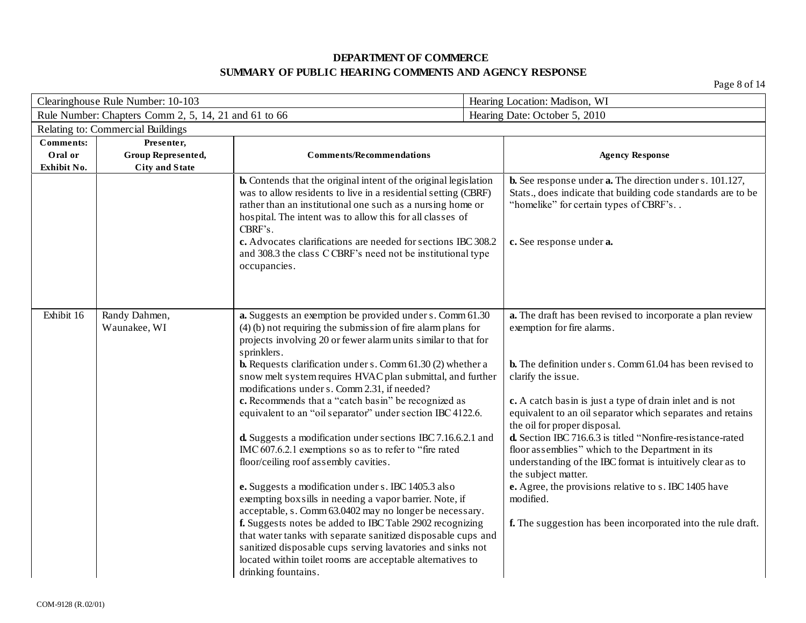| Clearinghouse Rule Number: 10-103                    |                                                           |                                                                                                                                                                                                                                                                                                                                                                                                                                                                                                                                                                                                                                                                                                                                                                                                                                                                                                                                                                                                                                                                                                                                                      | Hearing Location: Madison, WI |                                                                                                                                                                                                                                                                                                                                                                                                                                                                                                                                                                                                                                                                                            |
|------------------------------------------------------|-----------------------------------------------------------|------------------------------------------------------------------------------------------------------------------------------------------------------------------------------------------------------------------------------------------------------------------------------------------------------------------------------------------------------------------------------------------------------------------------------------------------------------------------------------------------------------------------------------------------------------------------------------------------------------------------------------------------------------------------------------------------------------------------------------------------------------------------------------------------------------------------------------------------------------------------------------------------------------------------------------------------------------------------------------------------------------------------------------------------------------------------------------------------------------------------------------------------------|-------------------------------|--------------------------------------------------------------------------------------------------------------------------------------------------------------------------------------------------------------------------------------------------------------------------------------------------------------------------------------------------------------------------------------------------------------------------------------------------------------------------------------------------------------------------------------------------------------------------------------------------------------------------------------------------------------------------------------------|
| Rule Number: Chapters Comm 2, 5, 14, 21 and 61 to 66 |                                                           |                                                                                                                                                                                                                                                                                                                                                                                                                                                                                                                                                                                                                                                                                                                                                                                                                                                                                                                                                                                                                                                                                                                                                      | Hearing Date: October 5, 2010 |                                                                                                                                                                                                                                                                                                                                                                                                                                                                                                                                                                                                                                                                                            |
| Relating to: Commercial Buildings                    |                                                           |                                                                                                                                                                                                                                                                                                                                                                                                                                                                                                                                                                                                                                                                                                                                                                                                                                                                                                                                                                                                                                                                                                                                                      |                               |                                                                                                                                                                                                                                                                                                                                                                                                                                                                                                                                                                                                                                                                                            |
| <b>Comments:</b><br>Oral or<br>Exhibit No.           | Presenter,<br>Group Represented,<br><b>City and State</b> | <b>Comments/Recommendations</b>                                                                                                                                                                                                                                                                                                                                                                                                                                                                                                                                                                                                                                                                                                                                                                                                                                                                                                                                                                                                                                                                                                                      |                               | <b>Agency Response</b>                                                                                                                                                                                                                                                                                                                                                                                                                                                                                                                                                                                                                                                                     |
|                                                      |                                                           | <b>b.</b> Contends that the original intent of the original legislation<br>was to allow residents to live in a residential setting (CBRF)<br>rather than an institutional one such as a nursing home or<br>hospital. The intent was to allow this for all classes of<br>CBRF's.<br>c. Advocates clarifications are needed for sections IBC 308.2<br>and 308.3 the class CCBRF's need not be institutional type<br>occupancies.                                                                                                                                                                                                                                                                                                                                                                                                                                                                                                                                                                                                                                                                                                                       |                               | <b>b.</b> See response under <b>a.</b> The direction under s. 101.127,<br>Stats., does indicate that building code standards are to be<br>"homelike" for certain types of CBRF's<br>c. See response under a.                                                                                                                                                                                                                                                                                                                                                                                                                                                                               |
| Exhibit 16                                           | Randy Dahmen,<br>Waunakee, WI                             | a. Suggests an exemption be provided under s. Comm 61.30<br>$(4)$ (b) not requiring the submission of fire alarm plans for<br>projects involving 20 or fewer alarm units similar to that for<br>sprinklers.<br><b>b.</b> Requests clarification under s. Comm $61.30(2)$ whether a<br>snow melt system requires HVAC plan submittal, and further<br>modifications under s. Comm 2.31, if needed?<br>c. Recommends that a "catch basin" be recognized as<br>equivalent to an "oil separator" under section IBC 4122.6.<br>d. Suggests a modification under sections IBC 7.16.6.2.1 and<br>IMC 607.6.2.1 exemptions so as to refer to "fire rated<br>floor/ceiling roof assembly cavities.<br>e. Suggests a modification under s. IBC 1405.3 also<br>exempting boxsills in needing a vapor barrier. Note, if<br>acceptable, s. Comm 63.0402 may no longer be necessary.<br>f. Suggests notes be added to IBC Table 2902 recognizing<br>that water tanks with separate sanitized disposable cups and<br>sanitized disposable cups serving lavatories and sinks not<br>located within toilet rooms are acceptable alternatives to<br>drinking fountains. |                               | a. The draft has been revised to incorporate a plan review<br>exemption for fire alarms.<br><b>b.</b> The definition under s. Comm 61.04 has been revised to<br>clarify the issue.<br>c. A catch basin is just a type of drain inlet and is not<br>equivalent to an oil separator which separates and retains<br>the oil for proper disposal.<br>d. Section IBC 716.6.3 is titled "Nonfire-resistance-rated<br>floor assemblies" which to the Department in its<br>understanding of the IBC format is intuitively clear as to<br>the subject matter.<br>e. Agree, the provisions relative to s. IBC 1405 have<br>modified.<br>f. The suggestion has been incorporated into the rule draft. |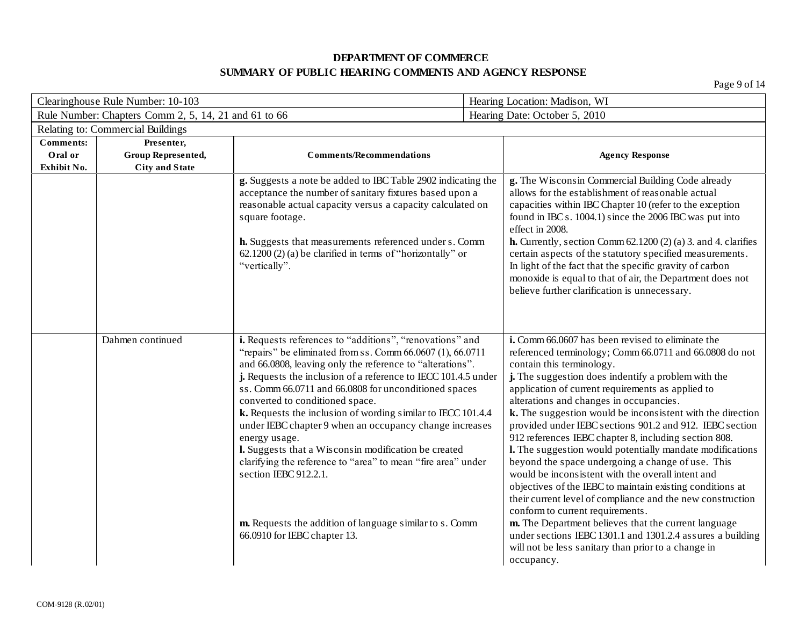| Clearinghouse Rule Number: 10-103 |                                                      |                                                                                                                                                                                                                                                                                                                                                                                                                                                                                                                                                                                                                                                                                                                                               | Hearing Location: Madison, WI |                                                                                                                                                                                                                                                                                                                                                                                                                                                                                                                                                                                                                                                                                                                                                                                                                                                                                                                                                                                                                      |  |
|-----------------------------------|------------------------------------------------------|-----------------------------------------------------------------------------------------------------------------------------------------------------------------------------------------------------------------------------------------------------------------------------------------------------------------------------------------------------------------------------------------------------------------------------------------------------------------------------------------------------------------------------------------------------------------------------------------------------------------------------------------------------------------------------------------------------------------------------------------------|-------------------------------|----------------------------------------------------------------------------------------------------------------------------------------------------------------------------------------------------------------------------------------------------------------------------------------------------------------------------------------------------------------------------------------------------------------------------------------------------------------------------------------------------------------------------------------------------------------------------------------------------------------------------------------------------------------------------------------------------------------------------------------------------------------------------------------------------------------------------------------------------------------------------------------------------------------------------------------------------------------------------------------------------------------------|--|
|                                   | Rule Number: Chapters Comm 2, 5, 14, 21 and 61 to 66 |                                                                                                                                                                                                                                                                                                                                                                                                                                                                                                                                                                                                                                                                                                                                               |                               | Hearing Date: October 5, 2010                                                                                                                                                                                                                                                                                                                                                                                                                                                                                                                                                                                                                                                                                                                                                                                                                                                                                                                                                                                        |  |
|                                   | Relating to: Commercial Buildings                    |                                                                                                                                                                                                                                                                                                                                                                                                                                                                                                                                                                                                                                                                                                                                               |                               |                                                                                                                                                                                                                                                                                                                                                                                                                                                                                                                                                                                                                                                                                                                                                                                                                                                                                                                                                                                                                      |  |
| <b>Comments:</b>                  | Presenter,                                           |                                                                                                                                                                                                                                                                                                                                                                                                                                                                                                                                                                                                                                                                                                                                               |                               |                                                                                                                                                                                                                                                                                                                                                                                                                                                                                                                                                                                                                                                                                                                                                                                                                                                                                                                                                                                                                      |  |
| Oral or                           | Group Represented,                                   | <b>Comments/Recommendations</b>                                                                                                                                                                                                                                                                                                                                                                                                                                                                                                                                                                                                                                                                                                               |                               | <b>Agency Response</b>                                                                                                                                                                                                                                                                                                                                                                                                                                                                                                                                                                                                                                                                                                                                                                                                                                                                                                                                                                                               |  |
| Exhibit No.                       | <b>City and State</b>                                |                                                                                                                                                                                                                                                                                                                                                                                                                                                                                                                                                                                                                                                                                                                                               |                               |                                                                                                                                                                                                                                                                                                                                                                                                                                                                                                                                                                                                                                                                                                                                                                                                                                                                                                                                                                                                                      |  |
|                                   |                                                      | g. Suggests a note be added to IBC Table 2902 indicating the<br>acceptance the number of sanitary fixtures based upon a<br>reasonable actual capacity versus a capacity calculated on<br>square footage.<br>h. Suggests that measurements referenced under s. Comm<br>$62.1200(2)$ (a) be clarified in terms of "horizontally" or<br>"vertically".                                                                                                                                                                                                                                                                                                                                                                                            |                               | g. The Wisconsin Commercial Building Code already<br>allows for the establishment of reasonable actual<br>capacities within IBC Chapter 10 (refer to the exception<br>found in IBC s. 1004.1) since the 2006 IBC was put into<br>effect in 2008.<br><b>h.</b> Currently, section Comm $62.1200(2)(a)$ 3. and 4. clarifies<br>certain aspects of the statutory specified measurements.<br>In light of the fact that the specific gravity of carbon<br>monoxide is equal to that of air, the Department does not<br>believe further clarification is unnecessary.                                                                                                                                                                                                                                                                                                                                                                                                                                                      |  |
|                                   | Dahmen continued                                     | i. Requests references to "additions", "renovations" and<br>"repairs" be eliminated from ss. Comm $66.0607(1)$ , $66.0711$<br>and 66.0808, leaving only the reference to "alterations".<br>j. Requests the inclusion of a reference to IECC 101.4.5 under<br>ss. Comm 66.0711 and 66.0808 for unconditioned spaces<br>converted to conditioned space.<br>k. Requests the inclusion of wording similar to IECC 101.4.4<br>under IEBC chapter 9 when an occupancy change increases<br>energy usage.<br>I. Suggests that a Wisconsin modification be created<br>clarifying the reference to "area" to mean "fire area" under<br>section IEBC 912.2.1.<br>m. Requests the addition of language similar to s. Comm<br>66.0910 for IEBC chapter 13. |                               | i. Comm 66.0607 has been revised to eliminate the<br>referenced terminology; Comm 66.0711 and 66.0808 do not<br>contain this terminology.<br>j. The suggestion does indentify a problem with the<br>application of current requirements as applied to<br>alterations and changes in occupancies.<br>k. The suggestion would be inconsistent with the direction<br>provided under IEBC sections 901.2 and 912. IEBC section<br>912 references IEBC chapter 8, including section 808.<br>I. The suggestion would potentially mandate modifications<br>beyond the space undergoing a change of use. This<br>would be inconsistent with the overall intent and<br>objectives of the IEBC to maintain existing conditions at<br>their current level of compliance and the new construction<br>conform to current requirements.<br>m. The Department believes that the current language<br>under sections IEBC 1301.1 and 1301.2.4 assures a building<br>will not be less sanitary than prior to a change in<br>occupancy. |  |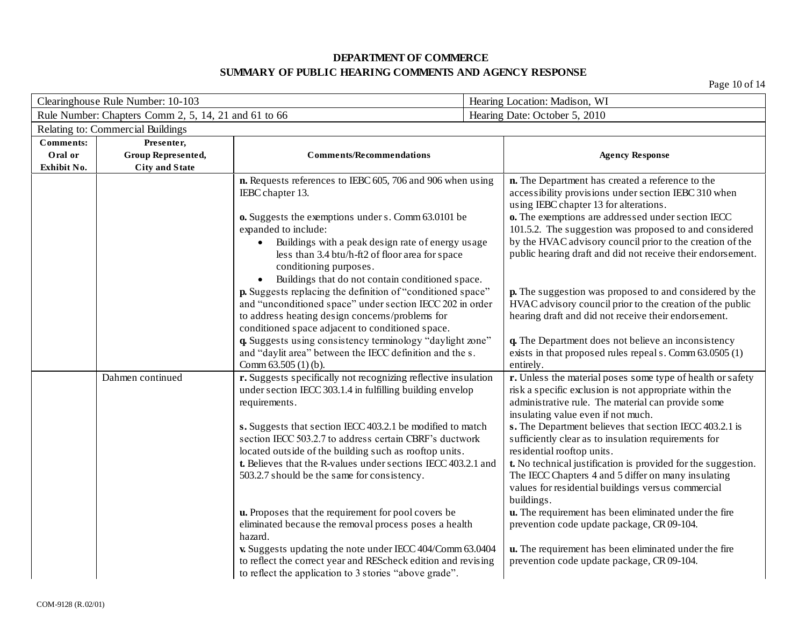Page 10 of 14

| Clearinghouse Rule Number: 10-103          |                                                           |                                                                                                                                                                                                                                                                                                                                                                                                                                                                                                                                                                                                                                                                                                                                                                    | Hearing Location: Madison, WI                                                                                                                                                                                                                                                                                                                                                                                                                                                                                                                                                                                                                                                                                                                                                |  |
|--------------------------------------------|-----------------------------------------------------------|--------------------------------------------------------------------------------------------------------------------------------------------------------------------------------------------------------------------------------------------------------------------------------------------------------------------------------------------------------------------------------------------------------------------------------------------------------------------------------------------------------------------------------------------------------------------------------------------------------------------------------------------------------------------------------------------------------------------------------------------------------------------|------------------------------------------------------------------------------------------------------------------------------------------------------------------------------------------------------------------------------------------------------------------------------------------------------------------------------------------------------------------------------------------------------------------------------------------------------------------------------------------------------------------------------------------------------------------------------------------------------------------------------------------------------------------------------------------------------------------------------------------------------------------------------|--|
|                                            | Rule Number: Chapters Comm 2, 5, 14, 21 and 61 to 66      |                                                                                                                                                                                                                                                                                                                                                                                                                                                                                                                                                                                                                                                                                                                                                                    | Hearing Date: October 5, 2010                                                                                                                                                                                                                                                                                                                                                                                                                                                                                                                                                                                                                                                                                                                                                |  |
|                                            | Relating to: Commercial Buildings                         |                                                                                                                                                                                                                                                                                                                                                                                                                                                                                                                                                                                                                                                                                                                                                                    |                                                                                                                                                                                                                                                                                                                                                                                                                                                                                                                                                                                                                                                                                                                                                                              |  |
| <b>Comments:</b><br>Oral or<br>Exhibit No. | Presenter,<br>Group Represented,<br><b>City and State</b> | <b>Comments/Recommendations</b>                                                                                                                                                                                                                                                                                                                                                                                                                                                                                                                                                                                                                                                                                                                                    | <b>Agency Response</b>                                                                                                                                                                                                                                                                                                                                                                                                                                                                                                                                                                                                                                                                                                                                                       |  |
|                                            |                                                           | n. Requests references to IEBC 605, 706 and 906 when using<br>IEBC chapter 13.<br>o. Suggests the exemptions under s. Comm 63.0101 be<br>expanded to include:<br>Buildings with a peak design rate of energy usage<br>less than 3.4 btu/h-ft2 of floor area for space<br>conditioning purposes.                                                                                                                                                                                                                                                                                                                                                                                                                                                                    | n. The Department has created a reference to the<br>accessibility provisions under section IEBC 310 when<br>using IEBC chapter 13 for alterations.<br>o. The exemptions are addressed under section IECC<br>101.5.2. The suggestion was proposed to and considered<br>by the HVAC advisory council prior to the creation of the<br>public hearing draft and did not receive their endorsement.                                                                                                                                                                                                                                                                                                                                                                               |  |
|                                            |                                                           | Buildings that do not contain conditioned space.<br>$\bullet$<br>p. Suggests replacing the definition of "conditioned space"<br>and "unconditioned space" under section IECC 202 in order<br>to address heating design concerns/problems for<br>conditioned space adjacent to conditioned space.<br>q. Suggests using consistency terminology "daylight zone"<br>and "daylit area" between the IECC definition and the s.<br>Comm $63.505(1)(b)$ .                                                                                                                                                                                                                                                                                                                 | <b>p.</b> The suggestion was proposed to and considered by the<br>HVAC advisory council prior to the creation of the public<br>hearing draft and did not receive their endorsement.<br>q. The Department does not believe an inconsistency<br>exists in that proposed rules repeal s. Comm 63.0505 (1)<br>entirely.                                                                                                                                                                                                                                                                                                                                                                                                                                                          |  |
|                                            | Dahmen continued                                          | r. Suggests specifically not recognizing reflective insulation<br>under section IECC 303.1.4 in fulfilling building envelop<br>requirements.<br>s. Suggests that section IECC 403.2.1 be modified to match<br>section IECC 503.2.7 to address certain CBRF's ductwork<br>located outside of the building such as rooftop units.<br>t. Believes that the R-values under sections IECC 403.2.1 and<br>503.2.7 should be the same for consistency.<br>u. Proposes that the requirement for pool covers be<br>eliminated because the removal process poses a health<br>hazard.<br>v. Suggests updating the note under IECC 404/Comm 63.0404<br>to reflect the correct year and REScheck edition and revising<br>to reflect the application to 3 stories "above grade". | r. Unless the material poses some type of health or safety<br>risk a specific exclusion is not appropriate within the<br>administrative rule. The material can provide some<br>insulating value even if not much.<br>s. The Department believes that section IECC 403.2.1 is<br>sufficiently clear as to insulation requirements for<br>residential rooftop units.<br>t. No technical justification is provided for the suggestion.<br>The IECC Chapters 4 and 5 differ on many insulating<br>values for residential buildings versus commercial<br>buildings.<br>u. The requirement has been eliminated under the fire<br>prevention code update package, CR 09-104.<br>u. The requirement has been eliminated under the fire<br>prevention code update package, CR 09-104. |  |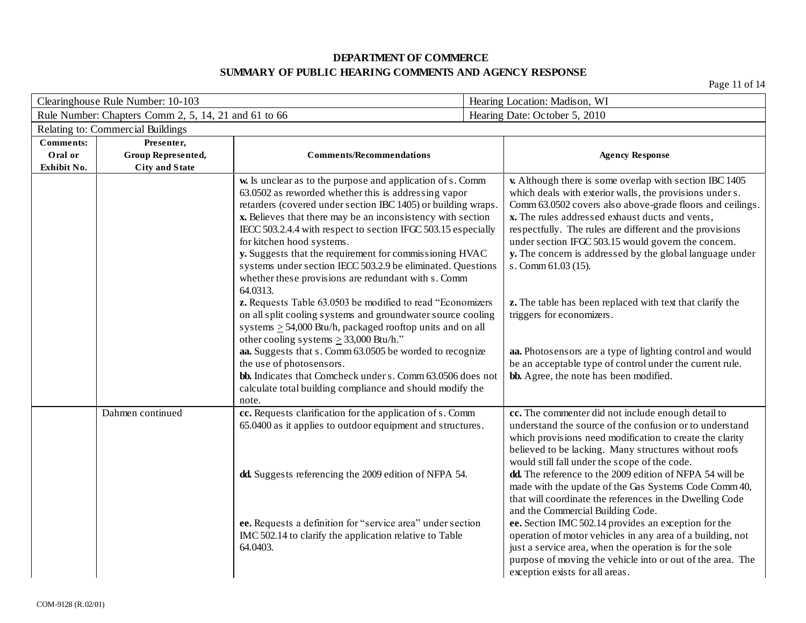| Clearinghouse Rule Number: 10-103                    |                                                           | Hearing Location: Madison, WI                                                                                                                                                                                                                                                                                                                                                                                                                                                                                                                                                                                                                                                                                                                                                                                                                                                                                                                                                                                           |                               |                                                                                                                                                                                                                                                                                                                                                                                                                                                                                                                                                                                                                                                                                                                                                                                             |
|------------------------------------------------------|-----------------------------------------------------------|-------------------------------------------------------------------------------------------------------------------------------------------------------------------------------------------------------------------------------------------------------------------------------------------------------------------------------------------------------------------------------------------------------------------------------------------------------------------------------------------------------------------------------------------------------------------------------------------------------------------------------------------------------------------------------------------------------------------------------------------------------------------------------------------------------------------------------------------------------------------------------------------------------------------------------------------------------------------------------------------------------------------------|-------------------------------|---------------------------------------------------------------------------------------------------------------------------------------------------------------------------------------------------------------------------------------------------------------------------------------------------------------------------------------------------------------------------------------------------------------------------------------------------------------------------------------------------------------------------------------------------------------------------------------------------------------------------------------------------------------------------------------------------------------------------------------------------------------------------------------------|
| Rule Number: Chapters Comm 2, 5, 14, 21 and 61 to 66 |                                                           |                                                                                                                                                                                                                                                                                                                                                                                                                                                                                                                                                                                                                                                                                                                                                                                                                                                                                                                                                                                                                         | Hearing Date: October 5, 2010 |                                                                                                                                                                                                                                                                                                                                                                                                                                                                                                                                                                                                                                                                                                                                                                                             |
|                                                      | Relating to: Commercial Buildings                         |                                                                                                                                                                                                                                                                                                                                                                                                                                                                                                                                                                                                                                                                                                                                                                                                                                                                                                                                                                                                                         |                               |                                                                                                                                                                                                                                                                                                                                                                                                                                                                                                                                                                                                                                                                                                                                                                                             |
| <b>Comments:</b><br>Oral or<br>Exhibit No.           | Presenter,<br>Group Represented,<br><b>City and State</b> | <b>Comments/Recommendations</b>                                                                                                                                                                                                                                                                                                                                                                                                                                                                                                                                                                                                                                                                                                                                                                                                                                                                                                                                                                                         |                               | <b>Agency Response</b>                                                                                                                                                                                                                                                                                                                                                                                                                                                                                                                                                                                                                                                                                                                                                                      |
|                                                      |                                                           | w. Is unclear as to the purpose and application of s. Comm<br>63.0502 as reworded whether this is addressing vapor<br>retarders (covered under section IBC 1405) or building wraps.<br>x. Believes that there may be an inconsistency with section<br>IECC 503.2.4.4 with respect to section IFGC 503.15 especially<br>for kitchen hood systems.<br>y. Suggests that the requirement for commissioning HVAC<br>systems under section IECC 503.2.9 be eliminated. Questions<br>whether these provisions are redundant with s. Comm<br>64.0313.<br>z. Requests Table 63.0503 be modified to read "Economizers<br>on all split cooling systems and groundwater source cooling<br>systems $\geq$ 54,000 Btu/h, packaged rooftop units and on all<br>other cooling systems $\geq$ 33,000 Btu/h."<br>aa. Suggests that s. Comm 63.0505 be worded to recognize<br>the use of photosensors.<br>bb. Indicates that Comcheck under s. Comm 63.0506 does not<br>calculate total building compliance and should modify the<br>note. |                               | <b>v.</b> Although there is some overlap with section IBC 1405<br>which deals with exterior walls, the provisions under s.<br>Comm 63.0502 covers also above-grade floors and ceilings.<br>x. The rules addressed exhaust ducts and vents,<br>respectfully. The rules are different and the provisions<br>under section IFGC 503.15 would govern the concern.<br>y. The concern is addressed by the global language under<br>s. Comm 61.03 (15).<br>z. The table has been replaced with text that clarify the<br>triggers for economizers.<br>aa. Photosensors are a type of lighting control and would<br>be an acceptable type of control under the current rule.<br>bb. Agree, the note has been modified.                                                                               |
|                                                      | Dahmen continued                                          | cc. Requests clarification for the application of s. Comm<br>65.0400 as it applies to outdoor equipment and structures.<br>dd. Suggests referencing the 2009 edition of NFPA 54.<br>ee. Requests a definition for "service area" under section<br>IMC 502.14 to clarify the application relative to Table<br>64.0403.                                                                                                                                                                                                                                                                                                                                                                                                                                                                                                                                                                                                                                                                                                   |                               | cc. The commenter did not include enough detail to<br>understand the source of the confusion or to understand<br>which provisions need modification to create the clarity<br>believed to be lacking. Many structures without roofs<br>would still fall under the scope of the code.<br>dd. The reference to the 2009 edition of NFPA 54 will be<br>made with the update of the Gas Systems Code Comm 40,<br>that will coordinate the references in the Dwelling Code<br>and the Commercial Building Code.<br>ee. Section IMC 502.14 provides an exception for the<br>operation of motor vehicles in any area of a building, not<br>just a service area, when the operation is for the sole<br>purpose of moving the vehicle into or out of the area. The<br>exception exists for all areas. |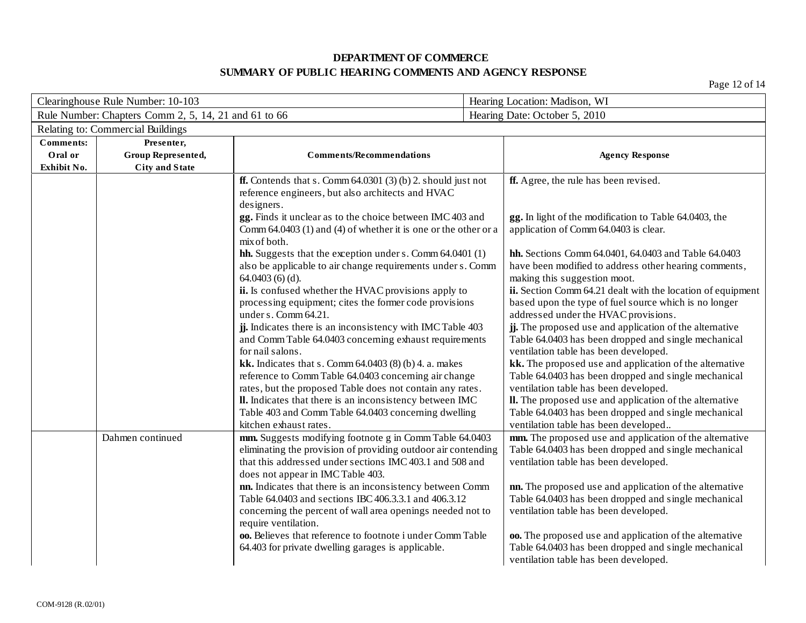Page 12 of 14

| Clearinghouse Rule Number: 10-103 |                                                      |                                                                                                                    |  | Hearing Location: Madison, WI                                                                                   |  |
|-----------------------------------|------------------------------------------------------|--------------------------------------------------------------------------------------------------------------------|--|-----------------------------------------------------------------------------------------------------------------|--|
|                                   | Rule Number: Chapters Comm 2, 5, 14, 21 and 61 to 66 |                                                                                                                    |  | Hearing Date: October 5, 2010                                                                                   |  |
|                                   | Relating to: Commercial Buildings                    |                                                                                                                    |  |                                                                                                                 |  |
| <b>Comments:</b>                  | Presenter,                                           |                                                                                                                    |  |                                                                                                                 |  |
| Oral or                           | Group Represented,                                   | <b>Comments/Recommendations</b>                                                                                    |  | <b>Agency Response</b>                                                                                          |  |
| Exhibit No.                       | <b>City and State</b>                                |                                                                                                                    |  |                                                                                                                 |  |
|                                   |                                                      | <b>ff.</b> Contends that s. Comm $64.0301$ (3) (b) 2. should just not                                              |  | ff. Agree, the rule has been revised.                                                                           |  |
|                                   |                                                      | reference engineers, but also architects and HVAC                                                                  |  |                                                                                                                 |  |
|                                   |                                                      | designers.<br>gg. Finds it unclear as to the choice between IMC 403 and                                            |  | gg. In light of the modification to Table 64.0403, the                                                          |  |
|                                   |                                                      | Comm $64.0403$ (1) and (4) of whether it is one or the other or a                                                  |  | application of Comm 64.0403 is clear.                                                                           |  |
|                                   |                                                      | mix of both.                                                                                                       |  |                                                                                                                 |  |
|                                   |                                                      | hh. Suggests that the exception under s. Comm 64.0401 (1)                                                          |  | hh. Sections Comm 64.0401, 64.0403 and Table 64.0403                                                            |  |
|                                   |                                                      | also be applicable to air change requirements under s. Comm                                                        |  | have been modified to address other hearing comments,                                                           |  |
|                                   |                                                      | $64.0403(6)(d)$ .                                                                                                  |  | making this suggestion moot.                                                                                    |  |
|                                   |                                                      | ii. Is confused whether the HVAC provisions apply to                                                               |  | ii. Section Comm 64.21 dealt with the location of equipment                                                     |  |
|                                   |                                                      | processing equipment; cites the former code provisions                                                             |  | based upon the type of fuel source which is no longer                                                           |  |
|                                   |                                                      | under s. Comm 64.21.                                                                                               |  | addressed under the HVAC provisions.                                                                            |  |
|                                   |                                                      | ij. Indicates there is an inconsistency with IMC Table 403                                                         |  | jj. The proposed use and application of the alternative                                                         |  |
|                                   |                                                      | and Comm Table 64.0403 concerning exhaust requirements                                                             |  | Table 64.0403 has been dropped and single mechanical                                                            |  |
|                                   |                                                      | for nail salons.                                                                                                   |  | ventilation table has been developed.                                                                           |  |
|                                   |                                                      | kk. Indicates that s. Comm $64.0403$ (8) (b) 4. a. makes                                                           |  | kk. The proposed use and application of the alternative<br>Table 64.0403 has been dropped and single mechanical |  |
|                                   |                                                      | reference to Comm Table 64.0403 concerning air change<br>rates, but the proposed Table does not contain any rates. |  | ventilation table has been developed.                                                                           |  |
|                                   |                                                      | II. Indicates that there is an inconsistency between IMC                                                           |  | II. The proposed use and application of the alternative                                                         |  |
|                                   |                                                      | Table 403 and Comm Table 64.0403 concerning dwelling                                                               |  | Table 64.0403 has been dropped and single mechanical                                                            |  |
|                                   |                                                      | kitchen exhaust rates.                                                                                             |  | ventilation table has been developed                                                                            |  |
|                                   | Dahmen continued                                     | mm. Suggests modifying footnote g in Comm Table 64.0403                                                            |  | mm. The proposed use and application of the alternative                                                         |  |
|                                   |                                                      | eliminating the provision of providing outdoor air contending                                                      |  | Table 64.0403 has been dropped and single mechanical                                                            |  |
|                                   |                                                      | that this addressed under sections IMC 403.1 and 508 and                                                           |  | ventilation table has been developed.                                                                           |  |
|                                   |                                                      | does not appear in IMC Table 403.                                                                                  |  |                                                                                                                 |  |
|                                   |                                                      | nn. Indicates that there is an inconsistency between Comm                                                          |  | nn. The proposed use and application of the alternative                                                         |  |
|                                   |                                                      | Table 64.0403 and sections IBC 406.3.3.1 and 406.3.12                                                              |  | Table 64.0403 has been dropped and single mechanical                                                            |  |
|                                   |                                                      | concerning the percent of wall area openings needed not to<br>require ventilation.                                 |  | ventilation table has been developed.                                                                           |  |
|                                   |                                                      | oo. Believes that reference to footnote i under Comm Table                                                         |  | oo. The proposed use and application of the alternative                                                         |  |
|                                   |                                                      | 64.403 for private dwelling garages is applicable.                                                                 |  | Table 64.0403 has been dropped and single mechanical                                                            |  |
|                                   |                                                      |                                                                                                                    |  | ventilation table has been developed.                                                                           |  |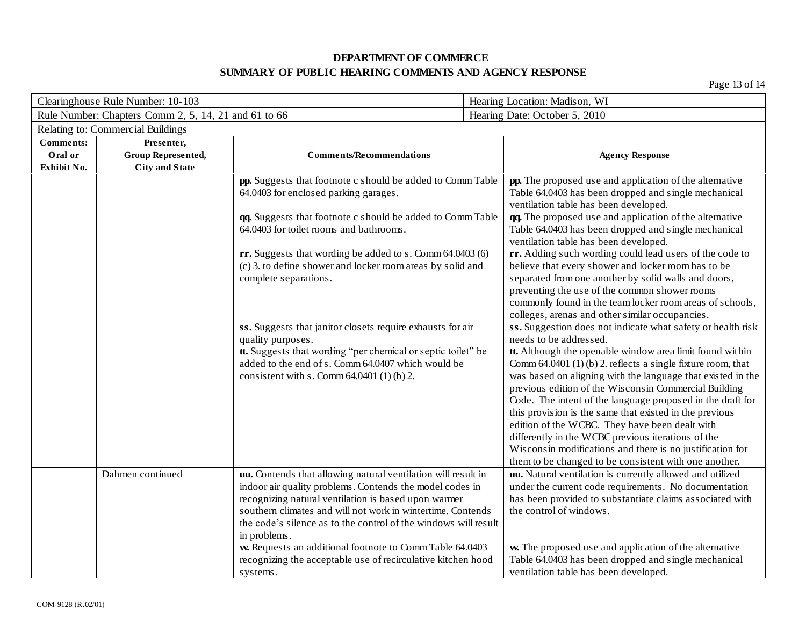| Clearinghouse Rule Number: 10-103                    |                                                           |                                                                                                                                                                                                                                                                                                                                                                                                                                                                             |  | Hearing Location: Madison, WI                                                                                                                                                                                                                                                                                                                                                                                                                                                                                                                                                                                                                                                                      |  |  |  |
|------------------------------------------------------|-----------------------------------------------------------|-----------------------------------------------------------------------------------------------------------------------------------------------------------------------------------------------------------------------------------------------------------------------------------------------------------------------------------------------------------------------------------------------------------------------------------------------------------------------------|--|----------------------------------------------------------------------------------------------------------------------------------------------------------------------------------------------------------------------------------------------------------------------------------------------------------------------------------------------------------------------------------------------------------------------------------------------------------------------------------------------------------------------------------------------------------------------------------------------------------------------------------------------------------------------------------------------------|--|--|--|
| Rule Number: Chapters Comm 2, 5, 14, 21 and 61 to 66 |                                                           |                                                                                                                                                                                                                                                                                                                                                                                                                                                                             |  | Hearing Date: October 5, 2010                                                                                                                                                                                                                                                                                                                                                                                                                                                                                                                                                                                                                                                                      |  |  |  |
| Relating to: Commercial Buildings                    |                                                           |                                                                                                                                                                                                                                                                                                                                                                                                                                                                             |  |                                                                                                                                                                                                                                                                                                                                                                                                                                                                                                                                                                                                                                                                                                    |  |  |  |
| <b>Comments:</b><br>Oral or<br>Exhibit No.           | Presenter,<br>Group Represented,<br><b>City and State</b> | <b>Comments/Recommendations</b>                                                                                                                                                                                                                                                                                                                                                                                                                                             |  | <b>Agency Response</b>                                                                                                                                                                                                                                                                                                                                                                                                                                                                                                                                                                                                                                                                             |  |  |  |
|                                                      |                                                           | pp. Suggests that footnote c should be added to Comm Table<br>64.0403 for enclosed parking garages.                                                                                                                                                                                                                                                                                                                                                                         |  | pp. The proposed use and application of the alternative<br>Table 64.0403 has been dropped and single mechanical<br>ventilation table has been developed.                                                                                                                                                                                                                                                                                                                                                                                                                                                                                                                                           |  |  |  |
|                                                      |                                                           | qq. Suggests that footnote c should be added to Comm Table<br>64.0403 for toilet rooms and bathrooms.                                                                                                                                                                                                                                                                                                                                                                       |  | qq. The proposed use and application of the alternative<br>Table 64.0403 has been dropped and single mechanical<br>ventilation table has been developed.                                                                                                                                                                                                                                                                                                                                                                                                                                                                                                                                           |  |  |  |
|                                                      |                                                           | rr. Suggests that wording be added to s. Comm 64.0403 (6)<br>(c) 3. to define shower and locker room areas by solid and<br>complete separations.                                                                                                                                                                                                                                                                                                                            |  | rr. Adding such wording could lead users of the code to<br>believe that every shower and locker room has to be<br>separated from one another by solid walls and doors,<br>preventing the use of the common shower rooms<br>commonly found in the team locker room areas of schools,<br>colleges, arenas and other similar occupancies.                                                                                                                                                                                                                                                                                                                                                             |  |  |  |
|                                                      |                                                           | ss. Suggests that janitor closets require exhausts for air<br>quality purposes.<br>tt. Suggests that wording "per chemical or septic toilet" be<br>added to the end of s. Comm 64.0407 which would be<br>consistent with s. Comm $64.0401$ (1) (b) 2.                                                                                                                                                                                                                       |  | ss. Suggestion does not indicate what safety or health risk<br>needs to be addressed.<br>tt. Although the openable window area limit found within<br>Comm $64.0401$ (1) (b) 2. reflects a single fixture room, that<br>was based on aligning with the language that existed in the<br>previous edition of the Wisconsin Commercial Building<br>Code. The intent of the language proposed in the draft for<br>this provision is the same that existed in the previous<br>edition of the WCBC. They have been dealt with<br>differently in the WCBC previous iterations of the<br>Wisconsin modifications and there is no justification for<br>them to be changed to be consistent with one another. |  |  |  |
|                                                      | Dahmen continued                                          | uu. Contends that allowing natural ventilation will result in<br>indoor air quality problems. Contends the model codes in<br>recognizing natural ventilation is based upon warmer<br>southern climates and will not work in wintertime. Contends<br>the code's silence as to the control of the windows will result<br>in problems.<br>w. Requests an additional footnote to Comm Table 64.0403<br>recognizing the acceptable use of recirculative kitchen hood<br>systems. |  | uu. Natural ventilation is currently allowed and utilized<br>under the current code requirements. No documentation<br>has been provided to substantiate claims associated with<br>the control of windows.<br>w. The proposed use and application of the alternative<br>Table 64.0403 has been dropped and single mechanical<br>ventilation table has been developed.                                                                                                                                                                                                                                                                                                                               |  |  |  |